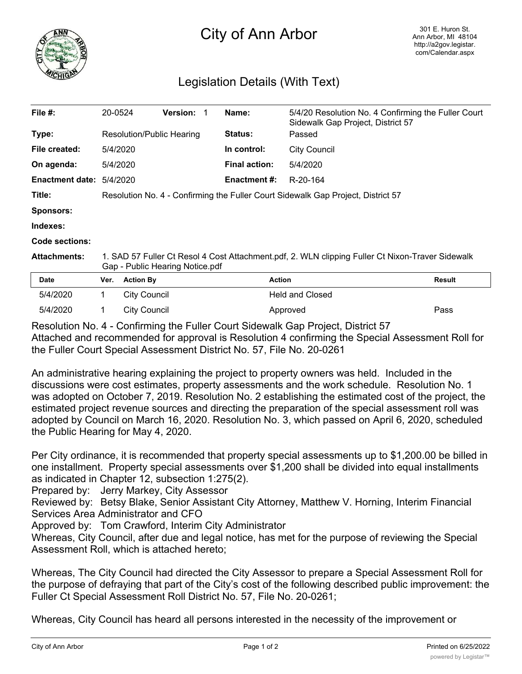

## City of Ann Arbor

## Legislation Details (With Text)

| File $#$ :             | 20-0524                                                                          | <b>Version:</b>                                                                                                                     |  | Name:                | 5/4/20 Resolution No. 4 Confirming the Fuller Court<br>Sidewalk Gap Project, District 57 |               |  |
|------------------------|----------------------------------------------------------------------------------|-------------------------------------------------------------------------------------------------------------------------------------|--|----------------------|------------------------------------------------------------------------------------------|---------------|--|
| Type:                  | Resolution/Public Hearing                                                        |                                                                                                                                     |  | <b>Status:</b>       | Passed                                                                                   |               |  |
| File created:          | 5/4/2020                                                                         |                                                                                                                                     |  | In control:          | <b>City Council</b>                                                                      |               |  |
| On agenda:             | 5/4/2020                                                                         |                                                                                                                                     |  | <b>Final action:</b> | 5/4/2020                                                                                 |               |  |
| <b>Enactment date:</b> | 5/4/2020                                                                         |                                                                                                                                     |  | Enactment #:         | R-20-164                                                                                 |               |  |
| Title:                 | Resolution No. 4 - Confirming the Fuller Court Sidewalk Gap Project, District 57 |                                                                                                                                     |  |                      |                                                                                          |               |  |
| Sponsors:              |                                                                                  |                                                                                                                                     |  |                      |                                                                                          |               |  |
| Indexes:               |                                                                                  |                                                                                                                                     |  |                      |                                                                                          |               |  |
| Code sections:         |                                                                                  |                                                                                                                                     |  |                      |                                                                                          |               |  |
| <b>Attachments:</b>    |                                                                                  | 1. SAD 57 Fuller Ct Resol 4 Cost Attachment.pdf, 2. WLN clipping Fuller Ct Nixon-Traver Sidewalk<br>Gap - Public Hearing Notice.pdf |  |                      |                                                                                          |               |  |
| <b>Date</b>            | Ver.                                                                             | <b>Action By</b>                                                                                                                    |  | <b>Action</b>        |                                                                                          | <b>Result</b> |  |
| 5/4/2020               | 1.                                                                               | <b>City Council</b>                                                                                                                 |  |                      | <b>Held and Closed</b>                                                                   |               |  |
| 5/4/2020               |                                                                                  | <b>City Council</b>                                                                                                                 |  |                      | Approved                                                                                 | Pass          |  |

Resolution No. 4 - Confirming the Fuller Court Sidewalk Gap Project, District 57 Attached and recommended for approval is Resolution 4 confirming the Special Assessment Roll for the Fuller Court Special Assessment District No. 57, File No. 20-0261

An administrative hearing explaining the project to property owners was held. Included in the discussions were cost estimates, property assessments and the work schedule. Resolution No. 1 was adopted on October 7, 2019. Resolution No. 2 establishing the estimated cost of the project, the estimated project revenue sources and directing the preparation of the special assessment roll was adopted by Council on March 16, 2020. Resolution No. 3, which passed on April 6, 2020, scheduled the Public Hearing for May 4, 2020.

Per City ordinance, it is recommended that property special assessments up to \$1,200.00 be billed in one installment. Property special assessments over \$1,200 shall be divided into equal installments as indicated in Chapter 12, subsection 1:275(2).

Prepared by: Jerry Markey, City Assessor

Reviewed by: Betsy Blake, Senior Assistant City Attorney, Matthew V. Horning, Interim Financial Services Area Administrator and CFO

Approved by: Tom Crawford, Interim City Administrator

Whereas, City Council, after due and legal notice, has met for the purpose of reviewing the Special Assessment Roll, which is attached hereto;

Whereas, The City Council had directed the City Assessor to prepare a Special Assessment Roll for the purpose of defraying that part of the City's cost of the following described public improvement: the Fuller Ct Special Assessment Roll District No. 57, File No. 20-0261;

Whereas, City Council has heard all persons interested in the necessity of the improvement or